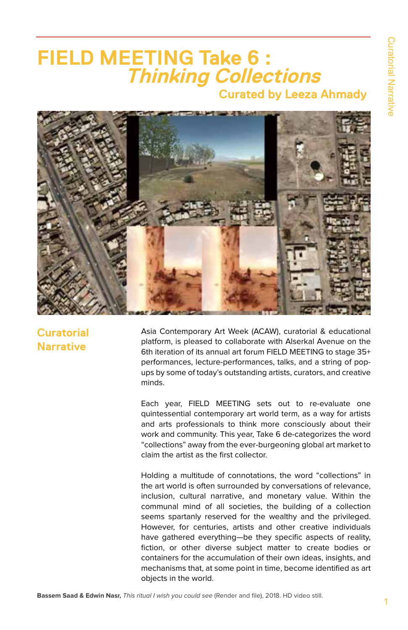# **FIELD MEETING Take 6 : Thinking Collections Curated by Leeza Ahmady**



**Curatorial Narrative** 

Asia Contemporary Art Week (ACAW), curatorial & educational platform, is pleased to collaborate with Alserkal Avenue on the 6th iteration of its annual art forum FIELD MEETING to stage 35+ performances, lecture-performances, talks, and a string of popups by some of today's outstanding artists, curators, and creative minds.

Each year, FIELD MEETING sets out to re-evaluate one quintessential contemporary art world term, as a way for artists and arts professionals to think more consciously about their work and community. This year, Take 6 de-categorizes the word "collections" away from the ever-burgeoning global art market to claim the artist as the first collector.

Holding a multitude of connotations, the word "collections" in the art world is often surrounded by conversations of relevance, inclusion, cultural narrative, and monetary value. Within the communal mind of all societies, the building of a collection seems spartanly reserved for the wealthy and the privileged. However, for centuries, artists and other creative individuals have gathered everything—be they specific aspects of reality, fiction, or other diverse subject matter to create bodies or containers for the accumulation of their own ideas, insights, and mechanisms that, at some point in time, become identified as art objects in the world.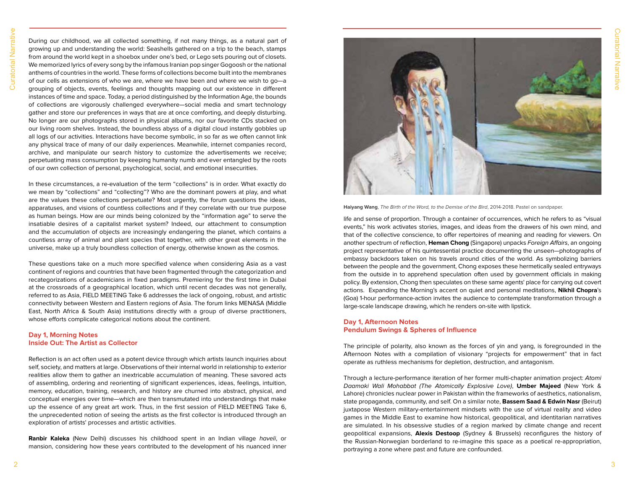During our childhood, we all collected something, if not many things, as a natural part of growing up and understanding the world: Seashells gathered on a trip to the beach, stamps from around the world kept in a shoebox under one's bed, or Lego sets pouring out of closets. We memorized lyrics of every song by the infamous Iranian pop singer Gogoosh or the national anthems of countries in the world. These forms of collections become built into the membranes of our cells as extensions of who we are, where we have been and where we wish to go—a grouping of objects, events, feelings and thoughts mapping out our existence in different instances of time and space. Today, a period distinguished by the Information Age, the bounds of collections are vigorously challenged everywhere—social media and smart technology gather and store our preferences in ways that are at once comforting, and deeply disturbing. No longer are our photographs stored in physical albums, nor our favorite CDs stacked on our living room shelves. Instead, the boundless abyss of a digital cloud instantly gobbles up all logs of our activities. Interactions have become symbolic, in so far as we often cannot link any physical trace of many of our daily experiences. Meanwhile, internet companies record, archive, and manipulate our search history to customize the advertisements we receive; perpetuating mass consumption by keeping humanity numb and ever entangled by the roots of our own collection of personal, psychological, social, and emotional insecurities.

In these circumstances, a re-evaluation of the term "collections" is in order. What exactly do we mean by "collections" and "collecting"? Who are the dominant powers at play, and what are the values these collections perpetuate? Most urgently, the forum questions the ideas, apparatuses, and visions of countless collections and if they correlate with our true purpose as human beings. How are our minds being colonized by the "information age" to serve the insatiable desires of a capitalist market system? Indeed, our attachment to consumption and the accumulation of objects are increasingly endangering the planet, which contains a countless array of animal and plant species that together, with other great elements in the universe, make up a truly boundless collection of energy, otherwise known as the cosmos.

These questions take on a much more specified valence when considering Asia as a vast continent of regions and countries that have been fragmented through the categorization and recategorizations of academicians in fixed paradigms. Premiering for the first time in Dubai at the crossroads of a geographical location, which until recent decades was not generally, referred to as Asia, FIELD MEETING Take 6 addresses the lack of ongoing, robust, and artistic connectivity between Western and Eastern regions of Asia. The forum links MENASA (Middle East, North Africa & South Asia) institutions directly with a group of diverse practitioners, whose efforts complicate categorical notions about the continent.

#### **Day 1, Morning Notes Inside Out: The Artist as Collector**

Reflection is an act often used as a potent device through which artists launch inquiries about self, society, and matters at large. Observations of their internal world in relationship to exterior realities allow them to gather an inextricable accumulation of meaning. These savored acts of assembling, ordering and reorienting of significant experiences, ideas, feelings, intuition, memory, education, training, research, and history are churned into abstract, physical, and conceptual energies over time—which are then transmutated into understandings that make up the essence of any great art work. Thus, in the first session of FIELD MEETING Take 6, the unprecedented notion of seeing the artists as the first collector is introduced through an exploration of artists' processes and artistic activities.

**Ranbir Kaleka** (New Delhi) discusses his childhood spent in an Indian village haveli, or mansion, considering how these years contributed to the development of his nuanced inner



**Haiyang Wang**, The Birth of the Word, to the Demise of the Bird, 2014-2018. Pastel on sandpaper.

life and sense of proportion. Through a container of occurrences, which he refers to as "visual events," his work activates stories, images, and ideas from the drawers of his own mind, and that of the collective conscience, to offer repertoires of meaning and reading for viewers. On another spectrum of reflection, **Heman Chong** (Singapore) unpacks Foreign Affairs, an ongoing project representative of his quintessential practice documenting the unseen—photographs of embassy backdoors taken on his travels around cities of the world. As symbolizing barriers between the people and the government, Chong exposes these hermetically sealed entryways from the outside in to apprehend speculation often used by government officials in making policy. By extension, Chong then speculates on these same agents' place for carrying out covert actions. Expanding the Morning's accent on quiet and personal meditations, **Nikhil Chopra**'s (Goa) 1-hour performance-action invites the audience to contemplate transformation through a large-scale landscape drawing, which he renders on-site with lipstick.

## **Day 1, Afternoon Notes Pendulum Swings & Spheres of Influence**

The principle of polarity, also known as the forces of yin and yang, is foregrounded in the Afternoon Notes with a compilation of visionary "projects for empowerment" that in fact operate as ruthless mechanisms for depletion, destruction, and antagonism.

Through a lecture-performance iteration of her former multi-chapter animation project: Atomi Daamaki Wali Mohabbat (The Atomically Explosive Love), **Umber Majeed** (New York & Lahore) chronicles nuclear power in Pakistan within the frameworks of aesthetics, nationalism, state propaganda, community, and self. On a similar note, **Bassem Saad & Edwin Nasr** (Beirut) juxtapose Western military-entertainment mindsets with the use of virtual reality and video games in the Middle East to examine how historical, geopolitical, and identitarian narratives are simulated. In his obsessive studies of a region marked by climate change and recent geopolitical expansions, **Alexis Destoop** (Sydney & Brussels) reconfigures the history of the Russian-Norwegian borderland to re-imagine this space as a poetical re-appropriation, portraying a zone where past and future are confounded.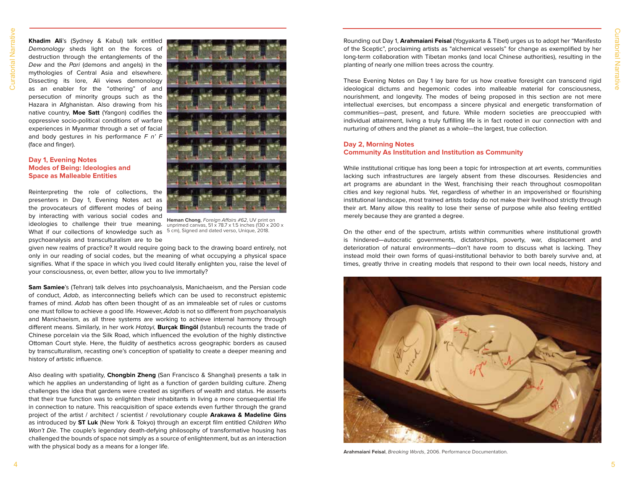**Khadim Ali**'s (Sydney & Kabul) talk entitled Demonology sheds light on the forces of destruction through the entanglements of the Dew and the Pari (demons and angels) in the mythologies of Central Asia and elsewhere. Dissecting its lore, Ali views demonology as an enabler for the "othering" of and persecution of minority groups such as the Hazara in Afghanistan. Also drawing from his native country, **Moe Satt** (Yangon) codifies the oppressive socio-political conditions of warfare experiences in Myanmar through a set of facial and body gestures in his performance  $F \nvert n' F$ (face and finger).

## **Day 1, Evening Notes Modes of Being: Ideologies and Space as Malleable Entities**

Reinterpreting the role of collections, the presenters in Day 1, Evening Notes act as the provocateurs of different modes of being by interacting with various social codes and ideologies to challenge their true meaning. What if our collections of knowledge such as psychoanalysis and transculturalism are to be



**Heman Chong**, Foreign Affairs #62, UV print on unprimed canvas, 51 x 78.7 x 1.5 inches (130 x 200 x 5 cm), Signed and dated verso, Unique, 2018.

given new realms of practice? It would require going back to the drawing board entirely, not only in our reading of social codes, but the meaning of what occupying a physical space signifies. What if the space in which you lived could literally enlighten you, raise the level of your consciousness, or, even better, allow you to live immortally?

**Sam Samiee**'s (Tehran) talk delves into psychoanalysis, Manichaeism, and the Persian code of conduct, Adab, as interconnecting beliefs which can be used to reconstruct epistemic frames of mind. Adab has often been thought of as an immaleable set of rules or customs one must follow to achieve a good life. However, Adab is not so different from psychoanalysis and Manichaeism, as all three systems are working to achieve internal harmony through different means. Similarly, in her work Hatayi, **Burçak Bingöl** (Istanbul) recounts the trade of Chinese porcelain via the Silk Road, which influenced the evolution of the highly distinctive Ottoman Court style. Here, the fluidity of aesthetics across geographic borders as caused by transculturalism, recasting one's conception of spatiality to create a deeper meaning and history of artistic influence.

Also dealing with spatiality, **Chongbin Zheng** (San Francisco & Shanghai) presents a talk in which he applies an understanding of light as a function of garden building culture. Zheng challenges the idea that gardens were created as signifiers of wealth and status. He asserts that their true function was to enlighten their inhabitants in living a more consequential life in connection to nature. This reacquisition of space extends even further through the grand project of the artist / architect / scientist / revolutionary couple **Arakawa & Madeline Gins** as introduced by **ST Luk** (New York & Tokyo) through an excerpt film entitled Children Who Won't Die. The couple's legendary death-defying philosophy of transformative housing has challenged the bounds of space not simply as a source of enlightenment, but as an interaction with the physical body as a means for a longer life.

Rounding out Day 1, **Arahmaiani Feisal** (Yogyakarta & Tibet) urges us to adopt her "Manifesto of the Sceptic", proclaiming artists as "alchemical vessels" for change as exemplified by her long-term collaboration with Tibetan monks (and local Chinese authorities), resulting in the planting of nearly one million trees across the country.

These Evening Notes on Day 1 lay bare for us how creative foresight can transcend rigid ideological dictums and hegemonic codes into malleable material for consciousness, nourishment, and longevity. The modes of being proposed in this section are not mere intellectual exercises, but encompass a sincere physical and energetic transformation of communities—past, present, and future. While modern societies are preoccupied with individual attainment, living a truly fulfilling life is in fact rooted in our connection with and nurturing of others and the planet as a whole—the largest, true collection.

### **Day 2, Morning Notes Community As Institution and Institution as Community**

While institutional critique has long been a topic for introspection at art events, communities lacking such infrastructures are largely absent from these discourses. Residencies and art programs are abundant in the West, franchising their reach throughout cosmopolitan cities and key regional hubs. Yet, regardless of whether in an impoverished or flourishing institutional landscape, most trained artists today do not make their livelihood strictly through their art. Many allow this reality to lose their sense of purpose while also feeling entitled merely because they are granted a degree.

On the other end of the spectrum, artists within communities where institutional growth is hindered—autocratic governments, dictatorships, poverty, war, displacement and deterioration of natural environments—don't have room to discuss what is lacking. They instead mold their own forms of quasi-institutional behavior to both barely survive and, at times, greatly thrive in creating models that respond to their own local needs, history and



**Arahmaiani Feisal**, Breaking Words, 2006. Performance Documentation.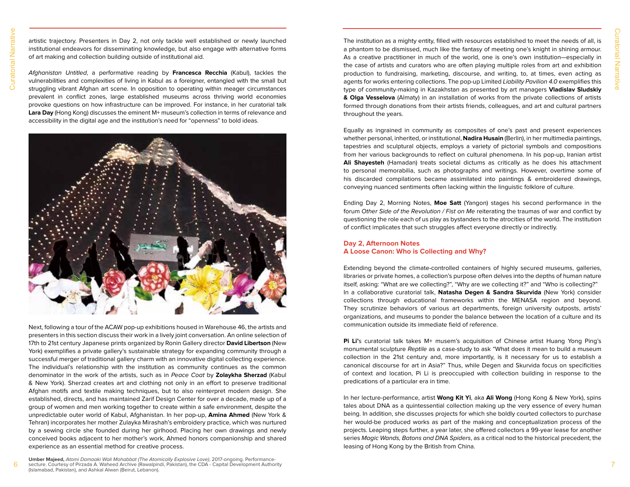artistic trajectory. Presenters in Day 2, not only tackle well established or newly launched institutional endeavors for disseminating knowledge, but also engage with alternative forms of art making and collection building outside of institutional aid.

Afghanistan Untitled, a performative reading by **Francesca Recchia** (Kabul), tackles the vulnerabilities and complexities of living in Kabul as a foreigner, entangled with the small but struggling vibrant Afghan art scene. In opposition to operating within meager circumstances prevalent in conflict zones, large established museums across thriving world economies provoke questions on how infrastructure can be improved. For instance, in her curatorial talk **Lara Day** (Hong Kong) discusses the eminent M+ museum's collection in terms of relevance and accessibility in the digital age and the institution's need for "openness" to bold ideas.



Next, following a tour of the ACAW pop-up exhibitions housed in Warehouse 46, the artists and presenters in this section discuss their work in a lively joint conversation. An online selection of 17th to 21st century Japanese prints organized by Ronin Gallery director **David Libertson** (New York) exemplifies a private gallery's sustainable strategy for expanding community through a successful merger of traditional gallery charm with an innovative digital collecting experience. The individual's relationship with the institution as community continues as the common denominator in the work of the artists, such as in Peace Coat by **Zolaykha Sherzad** (Kabul & New York). Sherzad creates art and clothing not only in an effort to preserve traditional Afghan motifs and textile making techniques, but to also reinterpret modern design. She established, directs, and has maintained Zarif Design Center for over a decade, made up of a group of women and men working together to create within a safe environment, despite the unpredictable outer world of Kabul, Afghanistan. In her pop-up, **Amina Ahmed** (New York & Tehran) incorporates her mother Zulayka Mirashah's embroidery practice, which was nurtured by a sewing circle she founded during her girlhood. Placing her own drawings and newly conceived books adjacent to her mother's work, Ahmed honors companionship and shared experience as an essential method for creative process.

 $6$  secture. Courtesy of Pirzada A. Waheed Archive (Rawalpindi, Pakistan), the CDA - Capital Development Authority **Umber Majeed,** Atomi Damaaki Wali Mohabbat (The Atomically Explosive Love), 2017-ongoing. Performance-(Islamabad, Pakistan), and Ashkal Alwan (Beirut, Lebanon).

The institution as a mighty entity, filled with resources established to meet the needs of all, is a phantom to be dismissed, much like the fantasy of meeting one's knight in shining armour. As a creative practitioner in much of the world, one is one's own institution—especially in the case of artists and curators who are often playing multiple roles from art and exhibition production to fundraising, marketing, discourse, and writing, to, at times, even acting as agents for works entering collections. The pop-up Limited Liability Pavilion 4.0 exemplifies this type of community-making in Kazakhstan as presented by art managers **Vladislav Sludskiy & Olga Vesselova** (Almaty) in an installation of works from the private collections of artists formed through donations from their artists friends, colleagues, and art and cultural partners throughout the years.

Equally as ingrained in community as composites of one's past and present experiences whether personal, inherited, or institutional, **Nadira Husain** (Berlin), in her multimedia paintings, tapestries and sculptural objects, employs a variety of pictorial symbols and compositions from her various backgrounds to reflect on cultural phenomena. In his pop-up, Iranian artist **Ali Shayesteh** (Hamadan) treats societal dictums as critically as he does his attachment to personal memorabilia, such as photographs and writings. However, overtime some of his discarded compilations became assimilated into paintings & embroidered drawings, conveying nuanced sentiments often lacking within the linguistic folklore of culture.

Ending Day 2, Morning Notes, **Moe Satt** (Yangon) stages his second performance in the forum Other Side of the Revolution / Fist on Me reiterating the traumas of war and conflict by questioning the role each of us play as bystanders to the atrocities of the world. The institution of conflict implicates that such struggles affect everyone directly or indirectly.

# **Day 2, Afternoon Notes A Loose Canon: Who is Collecting and Why?**

Extending beyond the climate-controlled containers of highly secured museums, galleries, libraries or private homes, a collection's purpose often delves into the depths of human nature itself, asking: "What are we collecting?", "Why are we collecting it?" and "Who is collecting?" In a collaborative curatorial talk, **Natasha Degen & Sandra Skurvida** (New York) consider collections through educational frameworks within the MENASA region and beyond. They scrutinize behaviors of various art departments, foreign university outposts, artists' organizations, and museums to ponder the balance between the location of a culture and its communication outside its immediate field of reference.

**Pi Li'**s curatorial talk takes M+ musem's acquisition of Chinese artist Huang Yong Ping's monumental sculpture Reptile as a case-study to ask "What does it mean to build a museum collection in the 21st century and, more importantly, is it necessary for us to establish a canonical discourse for art in Asia?" Thus, while Degen and Skurvida focus on specificities of context and location, Pi Li is preoccupied with collection building in response to the predications of a particular era in time.

In her lecture-performance, artist **Wong Kit Yi**, aka **Ali Wong** (Hong Kong & New York), spins tales about DNA as a quintessential collection making up the very essence of every human being. In addition, she discusses projects for which she boldly courted collectors to purchase her would-be produced works as part of the making and conceptualization process of the projects. Leaping steps further, a year later, she offered collectors a 99-year lease for another series Magic Wands, Batons and DNA Spiders, as a critical nod to the historical precedent, the leasing of Hong Kong by the British from China.